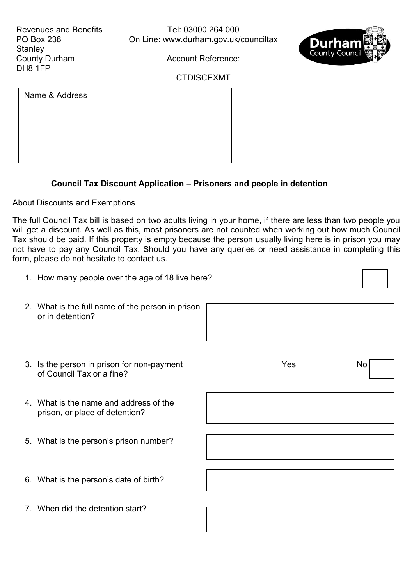

 $\overline{\phantom{0}}$ 

 $\Gamma$ 

Account Reference:

## CTDISCEXMT

Name & Address

## **Council Tax Discount Application – Prisoners and people in detention**

About Discounts and Exemptions

The full Council Tax bill is based on two adults living in your home, if there are less than two people you will get a discount. As well as this, most prisoners are not counted when working out how much Council Tax should be paid. If this property is empty because the person usually living here is in prison you may not have to pay any Council Tax. Should you have any queries or need assistance in completing this form, please do not hesitate to contact us.

| 1. How many people over the age of 18 live here?                         |     |    |
|--------------------------------------------------------------------------|-----|----|
| 2. What is the full name of the person in prison<br>or in detention?     |     |    |
| 3. Is the person in prison for non-payment<br>of Council Tax or a fine?  | Yes | No |
| 4. What is the name and address of the<br>prison, or place of detention? |     |    |
| 5. What is the person's prison number?                                   |     |    |
| 6. What is the person's date of birth?                                   |     |    |
| 7. When did the detention start?                                         |     |    |